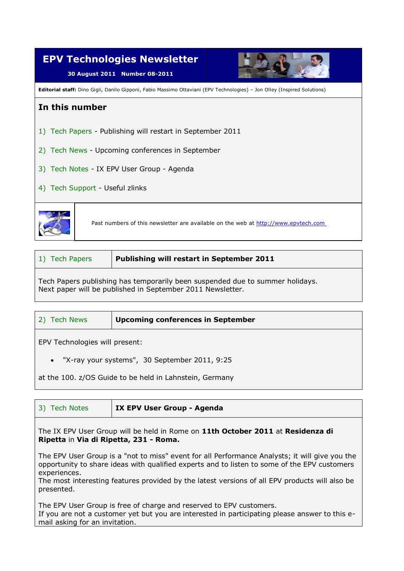| <b>EPV Technologies Newsletter</b><br>30 August 2011 Number 08-2011                                                             |                                                                                    |  |
|---------------------------------------------------------------------------------------------------------------------------------|------------------------------------------------------------------------------------|--|
| <b>Editorial staff:</b> Dino Gigli, Danilo Gipponi, Fabio Massimo Ottaviani (EPV Technologies) - Jon Olley (Inspired Solutions) |                                                                                    |  |
| In this number                                                                                                                  |                                                                                    |  |
| 1) Tech Papers - Publishing will restart in September 2011                                                                      |                                                                                    |  |
| 2) Tech News - Upcoming conferences in September                                                                                |                                                                                    |  |
| 3) Tech Notes - IX EPV User Group - Agenda                                                                                      |                                                                                    |  |
| 4) Tech Support - Useful zlinks                                                                                                 |                                                                                    |  |
|                                                                                                                                 | Past numbers of this newsletter are available on the web at http://www.epvtech.com |  |

| 1) Tech Papers | Publishing will restart in September 2011 |
|----------------|-------------------------------------------|
|                |                                           |

Tech Papers publishing has temporarily been suspended due to summer holidays. Next paper will be published in September 2011 Newsletter.

| <b>Tech News</b><br>2)         | <b>Upcoming conferences in September</b>                |  |
|--------------------------------|---------------------------------------------------------|--|
| EPV Technologies will present: |                                                         |  |
|                                | • "X-ray your systems", 30 September 2011, 9:25         |  |
|                                | at the 100. z/OS Guide to be held in Lahnstein, Germany |  |

| 3) Tech Notes                                                                                                             | IX EPV User Group - Agenda |  |
|---------------------------------------------------------------------------------------------------------------------------|----------------------------|--|
| The IX EPV User Group will be held in Rome on 11th October 2011 at Residenza di<br>Ripetta in Via di Ripetta, 231 - Roma. |                            |  |
| The FPV Heer Groun is a "not to miss" event for all Performance Analysts: it will give you the                            |                            |  |

The EPV User Group is a "not to miss" event for all Performance Analysts; it will give you the opportunity to share ideas with qualified experts and to listen to some of the EPV customers experiences.

The most interesting features provided by the latest versions of all EPV products will also be presented.

The EPV User Group is free of charge and reserved to EPV customers.

If you are not a customer yet but you are interested in participating please answer to this email asking for an invitation.